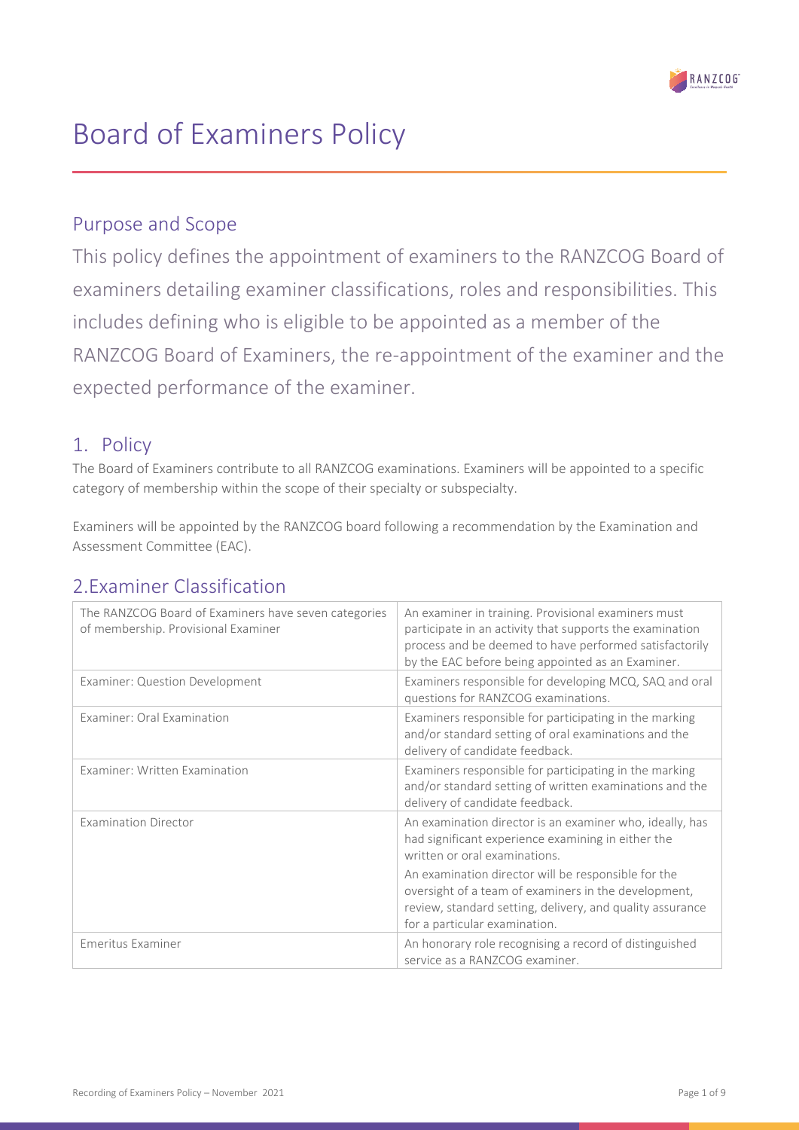

# Board of Examiners Policy

### Purpose and Scope

This policy defines the appointment of examiners to the RANZCOG Board of examiners detailing examiner classifications, roles and responsibilities. This includes defining who is eligible to be appointed as a member of the RANZCOG Board of Examiners, the re-appointment of the examiner and the expected performance of the examiner.

### 1. Policy

The Board of Examiners contribute to all RANZCOG examinations. Examiners will be appointed to a specific category of membership within the scope of their specialty or subspecialty.

Examiners will be appointed by the RANZCOG board following a recommendation by the Examination and Assessment Committee (EAC).

# 2.Examiner Classification

| The RANZCOG Board of Examiners have seven categories<br>of membership. Provisional Examiner | An examiner in training. Provisional examiners must<br>participate in an activity that supports the examination<br>process and be deemed to have performed satisfactorily<br>by the EAC before being appointed as an Examiner. |
|---------------------------------------------------------------------------------------------|--------------------------------------------------------------------------------------------------------------------------------------------------------------------------------------------------------------------------------|
| <b>Examiner: Question Development</b>                                                       | Examiners responsible for developing MCQ, SAQ and oral<br>questions for RANZCOG examinations.                                                                                                                                  |
| Examiner: Oral Examination                                                                  | Examiners responsible for participating in the marking<br>and/or standard setting of oral examinations and the<br>delivery of candidate feedback.                                                                              |
| Examiner: Written Examination                                                               | Examiners responsible for participating in the marking<br>and/or standard setting of written examinations and the<br>delivery of candidate feedback.                                                                           |
| <b>Examination Director</b>                                                                 | An examination director is an examiner who, ideally, has<br>had significant experience examining in either the<br>written or oral examinations.                                                                                |
|                                                                                             | An examination director will be responsible for the<br>oversight of a team of examiners in the development,<br>review, standard setting, delivery, and quality assurance<br>for a particular examination.                      |
| Emeritus Examiner                                                                           | An honorary role recognising a record of distinguished<br>service as a RANZCOG examiner.                                                                                                                                       |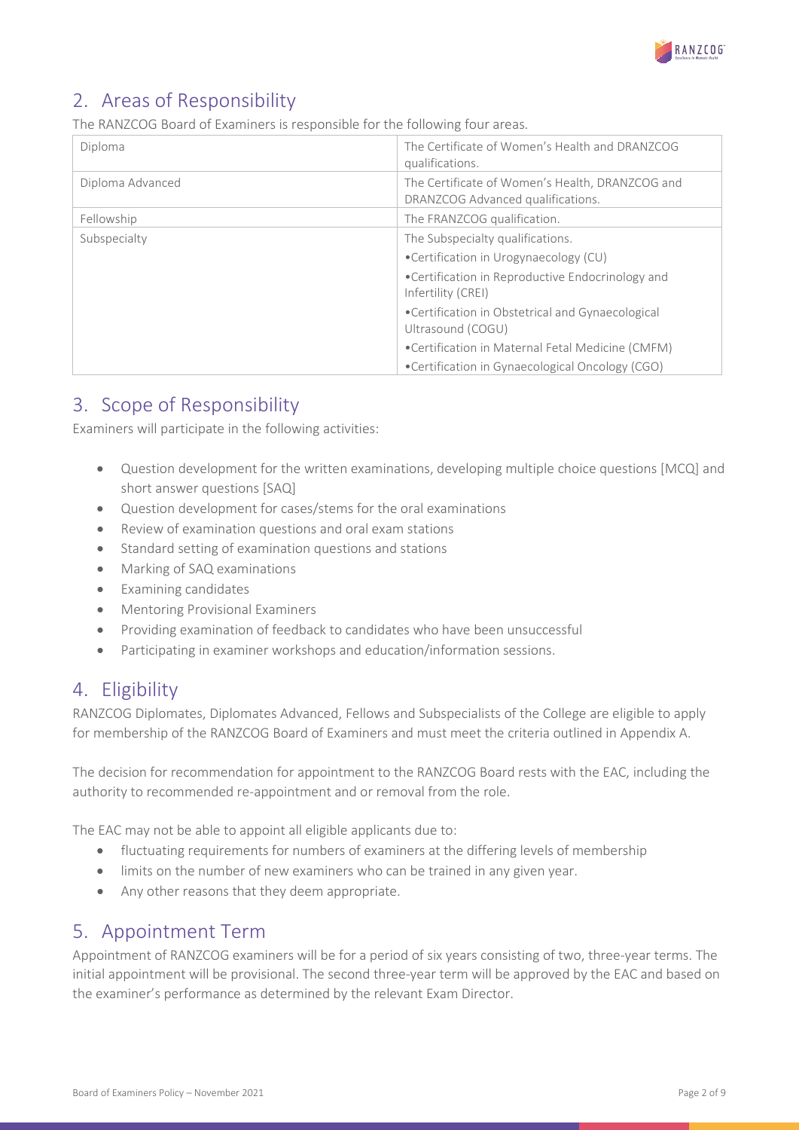

# 2. Areas of Responsibility

The RANZCOG Board of Examiners is responsible for the following four areas.

| Diploma          | The Certificate of Women's Health and DRANZCOG<br>qualifications.                    |
|------------------|--------------------------------------------------------------------------------------|
| Diploma Advanced | The Certificate of Women's Health, DRANZCOG and<br>DRANZCOG Advanced qualifications. |
| Fellowship       | The FRANZCOG qualification.                                                          |
| Subspecialty     | The Subspecialty qualifications.                                                     |
|                  | •Certification in Urogynaecology (CU)                                                |
|                  | •Certification in Reproductive Endocrinology and<br>Infertility (CREI)               |
|                  | •Certification in Obstetrical and Gynaecological<br>Ultrasound (COGU)                |
|                  | •Certification in Maternal Fetal Medicine (CMFM)                                     |
|                  | •Certification in Gynaecological Oncology (CGO)                                      |

# 3. Scope of Responsibility

Examiners will participate in the following activities:

- Question development for the written examinations, developing multiple choice questions [MCQ] and short answer questions [SAQ]
- Question development for cases/stems for the oral examinations
- Review of examination questions and oral exam stations
- Standard setting of examination questions and stations
- Marking of SAQ examinations
- Examining candidates
- Mentoring Provisional Examiners
- Providing examination of feedback to candidates who have been unsuccessful
- Participating in examiner workshops and education/information sessions.

# 4. Eligibility

RANZCOG Diplomates, Diplomates Advanced, Fellows and Subspecialists of the College are eligible to apply for membership of the RANZCOG Board of Examiners and must meet the criteria outlined in Appendix A.

The decision for recommendation for appointment to the RANZCOG Board rests with the EAC, including the authority to recommended re-appointment and or removal from the role.

The EAC may not be able to appoint all eligible applicants due to:

- fluctuating requirements for numbers of examiners at the differing levels of membership
- limits on the number of new examiners who can be trained in any given year.
- Any other reasons that they deem appropriate.

### 5. Appointment Term

Appointment of RANZCOG examiners will be for a period of six years consisting of two, three-year terms. The initial appointment will be provisional. The second three-year term will be approved by the EAC and based on the examiner's performance as determined by the relevant Exam Director.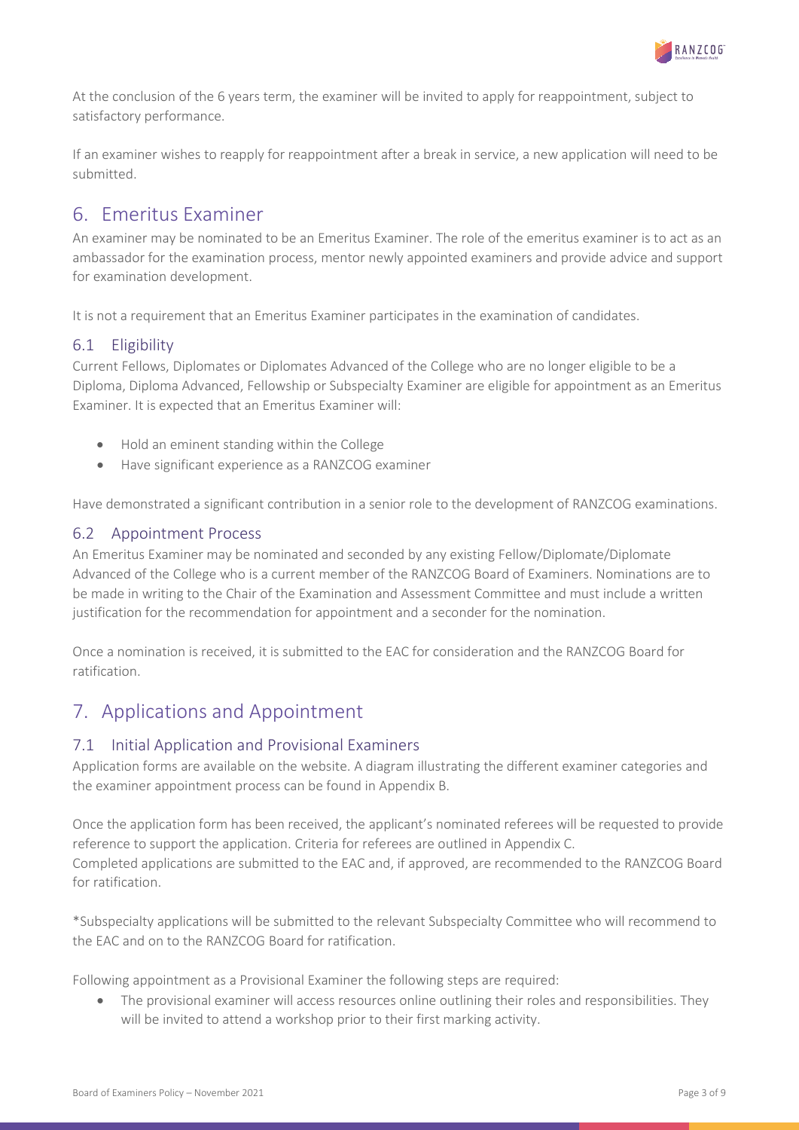

At the conclusion of the 6 years term, the examiner will be invited to apply for reappointment, subject to satisfactory performance.

If an examiner wishes to reapply for reappointment after a break in service, a new application will need to be submitted.

### 6. Emeritus Examiner

An examiner may be nominated to be an Emeritus Examiner. The role of the emeritus examiner is to act as an ambassador for the examination process, mentor newly appointed examiners and provide advice and support for examination development.

It is not a requirement that an Emeritus Examiner participates in the examination of candidates.

#### 6.1 Eligibility

Current Fellows, Diplomates or Diplomates Advanced of the College who are no longer eligible to be a Diploma, Diploma Advanced, Fellowship or Subspecialty Examiner are eligible for appointment as an Emeritus Examiner. It is expected that an Emeritus Examiner will:

- Hold an eminent standing within the College
- Have significant experience as a RANZCOG examiner

Have demonstrated a significant contribution in a senior role to the development of RANZCOG examinations.

#### 6.2 Appointment Process

An Emeritus Examiner may be nominated and seconded by any existing Fellow/Diplomate/Diplomate Advanced of the College who is a current member of the RANZCOG Board of Examiners. Nominations are to be made in writing to the Chair of the Examination and Assessment Committee and must include a written justification for the recommendation for appointment and a seconder for the nomination.

Once a nomination is received, it is submitted to the EAC for consideration and the RANZCOG Board for ratification.

# 7. Applications and Appointment

#### 7.1 Initial Application and Provisional Examiners

Application forms are available on the website. A diagram illustrating the different examiner categories and the examiner appointment process can be found in Appendix B.

Once the application form has been received, the applicant's nominated referees will be requested to provide reference to support the application. Criteria for referees are outlined in Appendix C. Completed applications are submitted to the EAC and, if approved, are recommended to the RANZCOG Board for ratification.

\*Subspecialty applications will be submitted to the relevant Subspecialty Committee who will recommend to the EAC and on to the RANZCOG Board for ratification.

Following appointment as a Provisional Examiner the following steps are required:

• The provisional examiner will access resources online outlining their roles and responsibilities. They will be invited to attend a workshop prior to their first marking activity.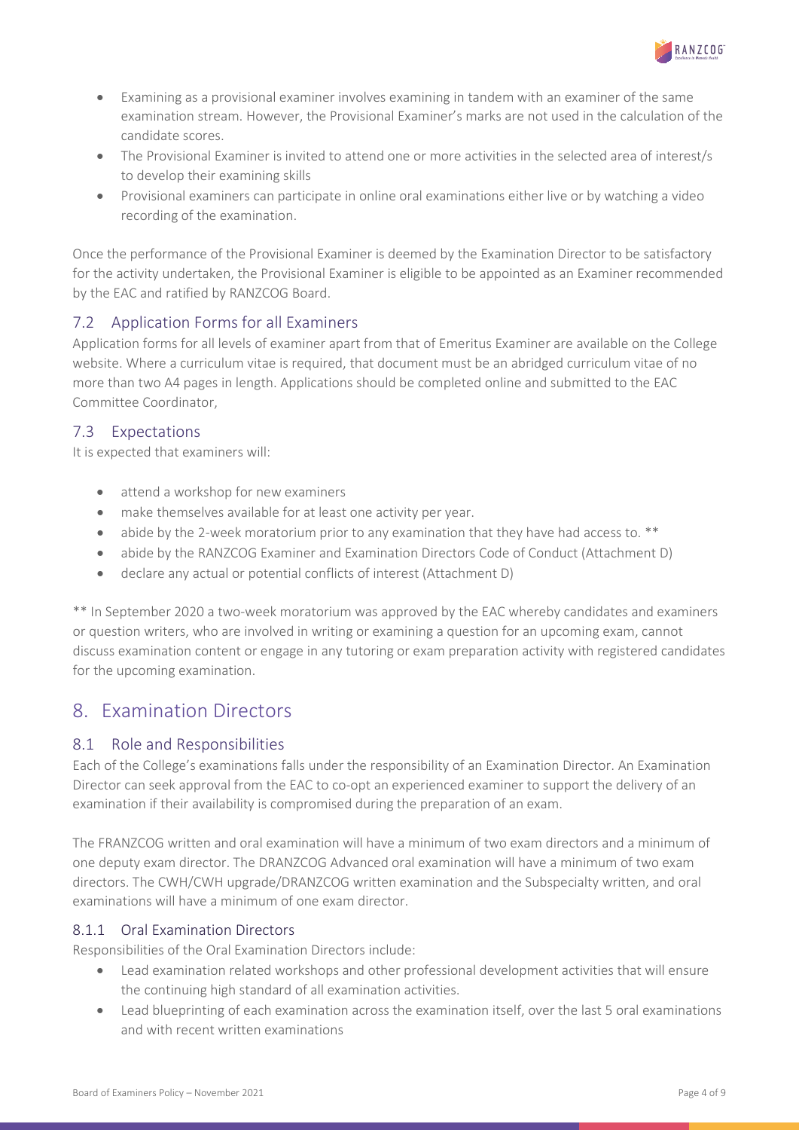

- Examining as a provisional examiner involves examining in tandem with an examiner of the same examination stream. However, the Provisional Examiner's marks are not used in the calculation of the candidate scores.
- The Provisional Examiner is invited to attend one or more activities in the selected area of interest/s to develop their examining skills
- Provisional examiners can participate in online oral examinations either live or by watching a video recording of the examination.

Once the performance of the Provisional Examiner is deemed by the Examination Director to be satisfactory for the activity undertaken, the Provisional Examiner is eligible to be appointed as an Examiner recommended by the EAC and ratified by RANZCOG Board.

#### 7.2 Application Forms for all Examiners

Application forms for all levels of examiner apart from that of Emeritus Examiner are available on the College website. Where a curriculum vitae is required, that document must be an abridged curriculum vitae of no more than two A4 pages in length. Applications should be completed online and submitted to the EAC Committee Coordinator,

#### 7.3 Expectations

It is expected that examiners will:

- attend a workshop for new examiners
- make themselves available for at least one activity per year.
- abide by the 2-week moratorium prior to any examination that they have had access to. \*\*
- abide by the RANZCOG Examiner and Examination Directors Code of Conduct (Attachment D)
- declare any actual or potential conflicts of interest (Attachment D)

\*\* In September 2020 a two-week moratorium was approved by the EAC whereby candidates and examiners or question writers, who are involved in writing or examining a question for an upcoming exam, cannot discuss examination content or engage in any tutoring or exam preparation activity with registered candidates for the upcoming examination.

# 8. Examination Directors

#### 8.1 Role and Responsibilities

Each of the College's examinations falls under the responsibility of an Examination Director. An Examination Director can seek approval from the EAC to co-opt an experienced examiner to support the delivery of an examination if their availability is compromised during the preparation of an exam.

The FRANZCOG written and oral examination will have a minimum of two exam directors and a minimum of one deputy exam director. The DRANZCOG Advanced oral examination will have a minimum of two exam directors. The CWH/CWH upgrade/DRANZCOG written examination and the Subspecialty written, and oral examinations will have a minimum of one exam director.

#### 8.1.1 Oral Examination Directors

Responsibilities of the Oral Examination Directors include:

- Lead examination related workshops and other professional development activities that will ensure the continuing high standard of all examination activities.
- Lead blueprinting of each examination across the examination itself, over the last 5 oral examinations and with recent written examinations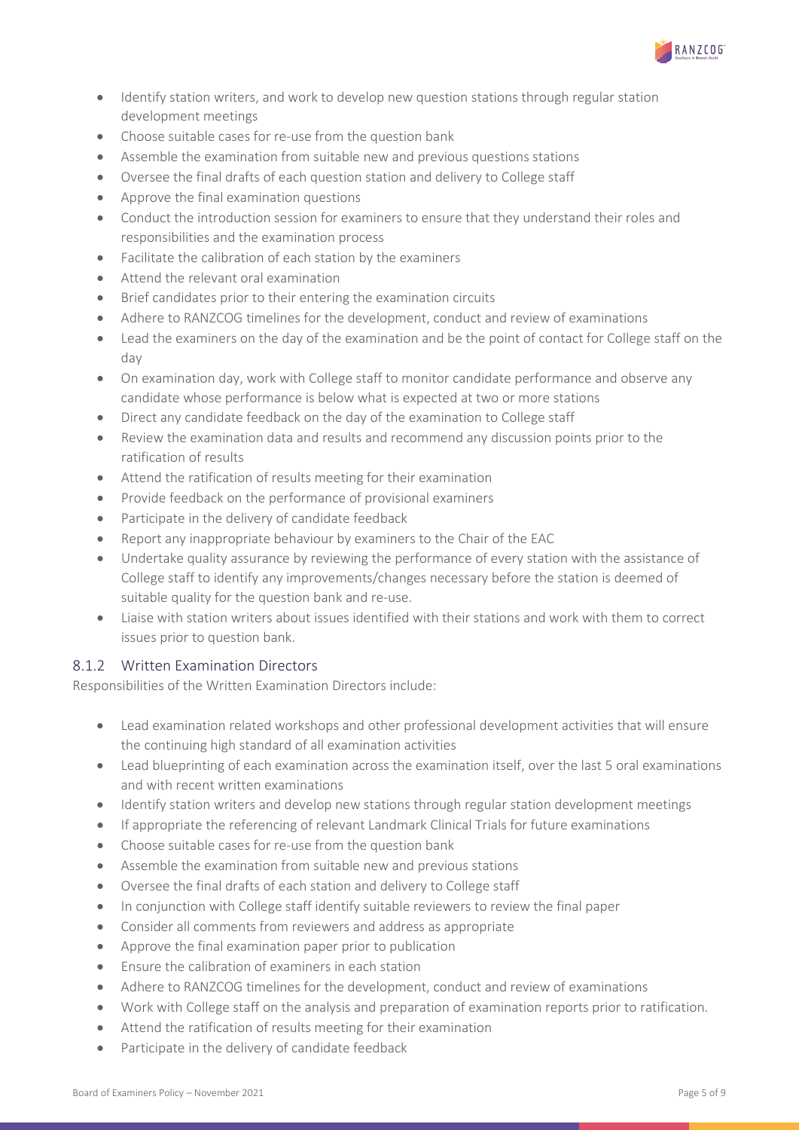

- Identify station writers, and work to develop new question stations through regular station development meetings
- Choose suitable cases for re-use from the question bank
- Assemble the examination from suitable new and previous questions stations
- Oversee the final drafts of each question station and delivery to College staff
- Approve the final examination questions
- Conduct the introduction session for examiners to ensure that they understand their roles and responsibilities and the examination process
- Facilitate the calibration of each station by the examiners
- Attend the relevant oral examination
- Brief candidates prior to their entering the examination circuits
- Adhere to RANZCOG timelines for the development, conduct and review of examinations
- Lead the examiners on the day of the examination and be the point of contact for College staff on the day
- On examination day, work with College staff to monitor candidate performance and observe any candidate whose performance is below what is expected at two or more stations
- Direct any candidate feedback on the day of the examination to College staff
- Review the examination data and results and recommend any discussion points prior to the ratification of results
- Attend the ratification of results meeting for their examination
- Provide feedback on the performance of provisional examiners
- Participate in the delivery of candidate feedback
- Report any inappropriate behaviour by examiners to the Chair of the EAC
- Undertake quality assurance by reviewing the performance of every station with the assistance of College staff to identify any improvements/changes necessary before the station is deemed of suitable quality for the question bank and re-use.
- Liaise with station writers about issues identified with their stations and work with them to correct issues prior to question bank.

#### 8.1.2 Written Examination Directors

Responsibilities of the Written Examination Directors include:

- Lead examination related workshops and other professional development activities that will ensure the continuing high standard of all examination activities
- Lead blueprinting of each examination across the examination itself, over the last 5 oral examinations and with recent written examinations
- Identify station writers and develop new stations through regular station development meetings
- If appropriate the referencing of relevant Landmark Clinical Trials for future examinations
- Choose suitable cases for re-use from the question bank
- Assemble the examination from suitable new and previous stations
- Oversee the final drafts of each station and delivery to College staff
- In conjunction with College staff identify suitable reviewers to review the final paper
- Consider all comments from reviewers and address as appropriate
- Approve the final examination paper prior to publication
- Ensure the calibration of examiners in each station
- Adhere to RANZCOG timelines for the development, conduct and review of examinations
- Work with College staff on the analysis and preparation of examination reports prior to ratification.
- Attend the ratification of results meeting for their examination
- Participate in the delivery of candidate feedback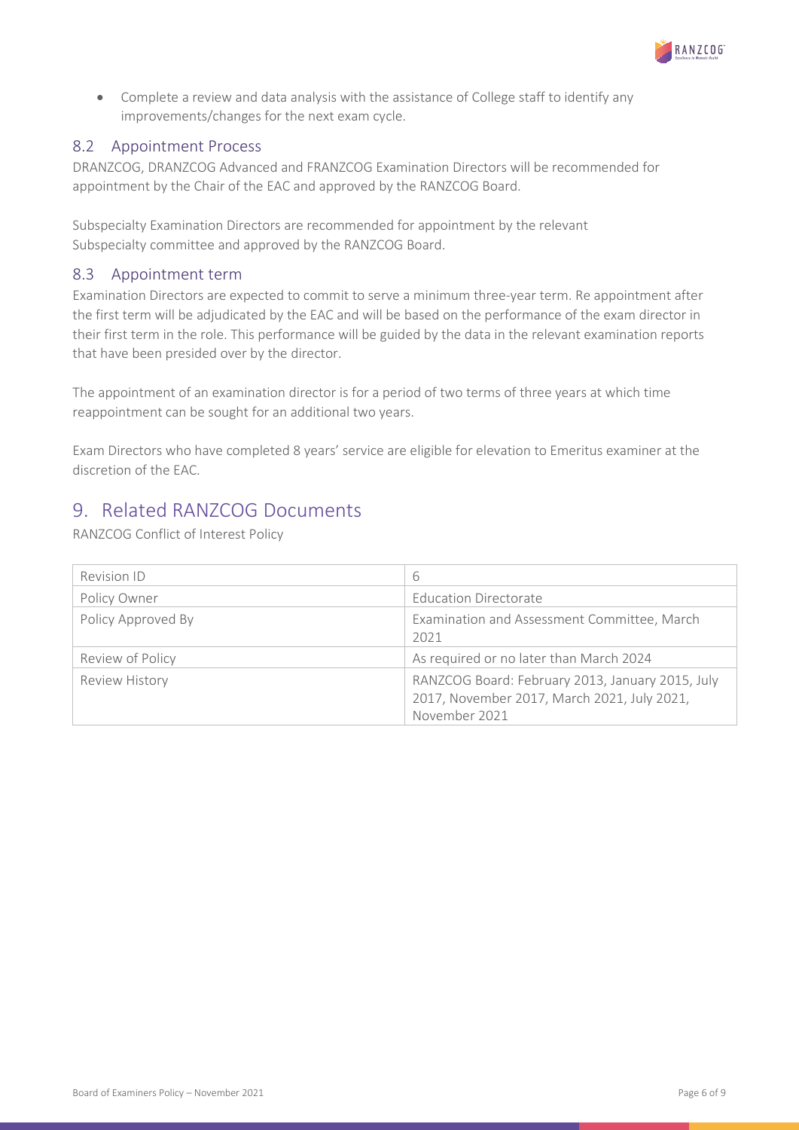

• Complete a review and data analysis with the assistance of College staff to identify any improvements/changes for the next exam cycle.

#### 8.2 Appointment Process

DRANZCOG, DRANZCOG Advanced and FRANZCOG Examination Directors will be recommended for appointment by the Chair of the EAC and approved by the RANZCOG Board.

Subspecialty Examination Directors are recommended for appointment by the relevant Subspecialty committee and approved by the RANZCOG Board.

#### 8.3 Appointment term

Examination Directors are expected to commit to serve a minimum three-year term. Re appointment after the first term will be adjudicated by the EAC and will be based on the performance of the exam director in their first term in the role. This performance will be guided by the data in the relevant examination reports that have been presided over by the director.

The appointment of an examination director is for a period of two terms of three years at which time reappointment can be sought for an additional two years.

Exam Directors who have completed 8 years' service are eligible for elevation to Emeritus examiner at the discretion of the EAC.

# 9. Related RANZCOG Documents

RANZCOG Conflict of Interest Policy

| Revision ID        | 6                                                                                                                |
|--------------------|------------------------------------------------------------------------------------------------------------------|
| Policy Owner       | Education Directorate                                                                                            |
| Policy Approved By | Examination and Assessment Committee, March<br>2021                                                              |
| Review of Policy   | As required or no later than March 2024                                                                          |
| Review History     | RANZCOG Board: February 2013, January 2015, July<br>2017, November 2017, March 2021, July 2021,<br>November 2021 |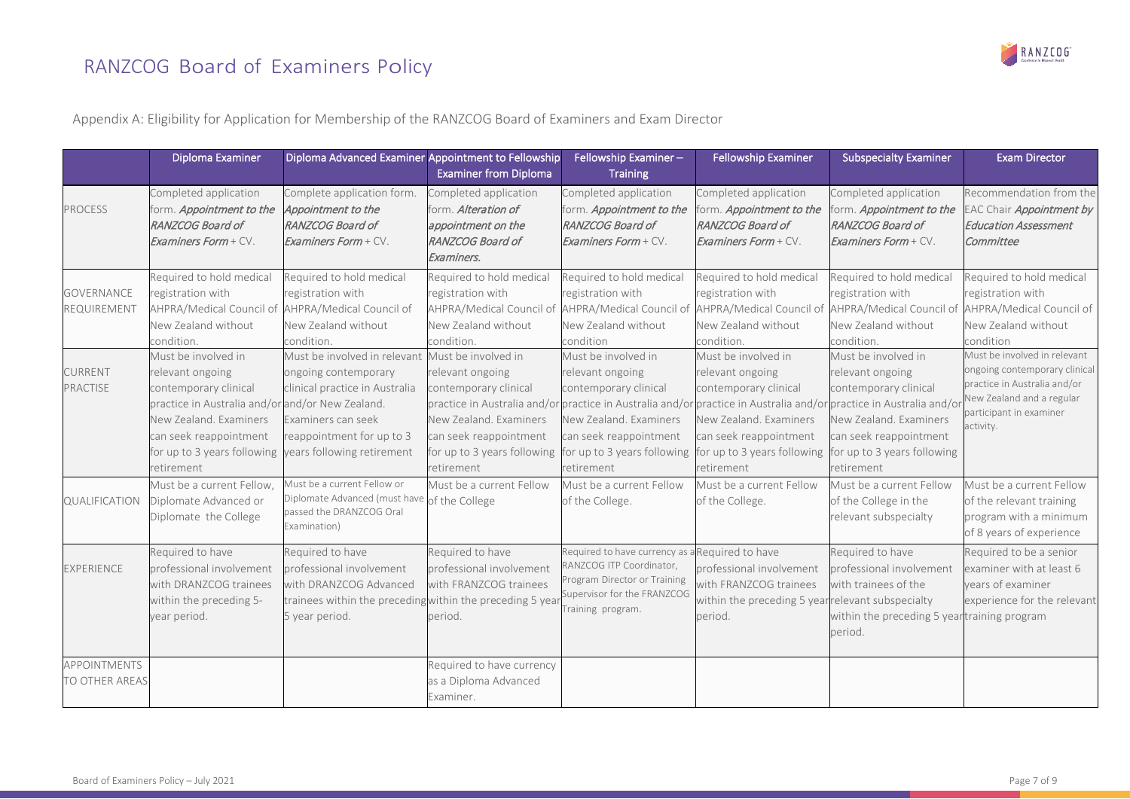# RANZCOG Board of Examiners Policy



Appendix A: Eligibility for Application for Membership of the RANZCOG Board of Examiners and Exam Director

|                                                    | Diploma Examiner                                                                                                                                                                                                     | Diploma Advanced Examiner Appointment to Fellowship                                                                                                                     | <b>Examiner from Diploma</b>                                                                                                                                                                                      | Fellowship Examiner-<br><b>Training</b>                                                                                                                                                                                                                                                  | <b>Fellowship Examiner</b>                                                                                                                                                 | <b>Subspecialty Examiner</b>                                                                                                                                      | <b>Exam Director</b>                                                                                                                                                                                 |
|----------------------------------------------------|----------------------------------------------------------------------------------------------------------------------------------------------------------------------------------------------------------------------|-------------------------------------------------------------------------------------------------------------------------------------------------------------------------|-------------------------------------------------------------------------------------------------------------------------------------------------------------------------------------------------------------------|------------------------------------------------------------------------------------------------------------------------------------------------------------------------------------------------------------------------------------------------------------------------------------------|----------------------------------------------------------------------------------------------------------------------------------------------------------------------------|-------------------------------------------------------------------------------------------------------------------------------------------------------------------|------------------------------------------------------------------------------------------------------------------------------------------------------------------------------------------------------|
| <b>PROCESS</b><br><b>GOVERNANCE</b><br>REQUIREMENT | Completed application<br>form. Appointment to the<br>RANZCOG Board of<br><b>Examiners Form + CV.</b><br>Required to hold medical<br>registration with<br>AHPRA/Medical Council of AHPRA/Medical Council of           | Complete application form.<br>Appointment to the<br>RANZCOG Board of<br><b>Examiners Form + CV.</b><br>Required to hold medical<br>registration with                    | Completed application<br>form. Alteration of<br>appointment on the<br><b>RANZCOG Board of</b><br>Examiners.<br>Required to hold medical<br>registration with<br>AHPRA/Medical Council of AHPRA/Medical Council of | Completed application<br>form. Appointment to the<br>RANZCOG Board of<br>Examiners Form + CV.<br>Required to hold medical<br>registration with                                                                                                                                           | Completed application<br>form. Appointment to the<br>RANZCOG Board of<br>Examiners Form + CV.<br>Required to hold medical<br>registration with<br>AHPRA/Medical Council of | Completed application<br>form. Appointment to the<br>RANZCOG Board of<br><b>Examiners Form + CV.</b><br>Required to hold medical<br>registration with             | Recommendation from the<br>AC Chair Appointment by<br><b>Education Assessment</b><br>Committee<br>Required to hold medical<br>registration with<br>AHPRA/Medical Council of AHPRA/Medical Council of |
|                                                    | New Zealand without<br>condition.                                                                                                                                                                                    | New Zealand without<br>condition.                                                                                                                                       | New Zealand without<br>condition.                                                                                                                                                                                 | New Zealand without<br>condition                                                                                                                                                                                                                                                         | New Zealand without<br>condition.                                                                                                                                          | New Zealand without<br>condition.                                                                                                                                 | New Zealand without<br>condition                                                                                                                                                                     |
| <b>CURRENT</b><br>PRACTISE                         | Must be involved in<br>relevant ongoing<br>contemporary clinical<br>practice in Australia and/or and/or New Zealand.<br>New Zealand. Examiners<br>can seek reappointment<br>for up to 3 years following<br>etirement | Must be involved in relevant<br>ongoing contemporary<br>clinical practice in Australia<br>Examiners can seek<br>reappointment for up to 3<br>years following retirement | Must be involved in<br>relevant ongoing<br>contemporary clinical<br>New Zealand. Examiners<br>can seek reappointment<br>for up to 3 years following<br>etirement                                                  | Must be involved in<br>relevant ongoing<br>contemporary clinical<br>practice in Australia and/or practice in Australia and/or practice in Australia and/or practice in Australia and/or<br>New Zealand. Examiners<br>can seek reappointment<br>for up to 3 years following<br>retirement | Must be involved in<br>relevant ongoing<br>contemporary clinical<br>New Zealand. Examiners<br>can seek reappointment<br>for up to 3 years following<br>etirement           | Must be involved in<br>relevant ongoing<br>contemporary clinical<br>New Zealand. Examiners<br>can seek reappointment<br>for up to 3 years following<br>retirement | Must be involved in relevant<br>ongoing contemporary clinical<br>practice in Australia and/or<br>New Zealand and a regular<br>participant in examiner<br>activity.                                   |
| QUALIFICATION                                      | Must be a current Fellow,<br>Diplomate Advanced or<br>Diplomate the College                                                                                                                                          | Must be a current Fellow or<br>Diplomate Advanced (must have of the College<br>passed the DRANZCOG Oral<br>Examination)                                                 | Must be a current Fellow                                                                                                                                                                                          | Must be a current Fellow<br>of the College.                                                                                                                                                                                                                                              | Must be a current Fellow<br>of the College.                                                                                                                                | Must be a current Fellow<br>of the College in the<br>relevant subspecialty                                                                                        | Must be a current Fellow<br>of the relevant training<br>program with a minimum<br>of 8 years of experience                                                                                           |
| <b>EXPERIENCE</b>                                  | Required to have<br>professional involvement<br>with DRANZCOG trainees<br>within the preceding 5-<br>year period.                                                                                                    | Required to have<br>professional involvement<br>with DRANZCOG Advanced<br>trainees within the preceding within the preceding 5 year<br>5 year period.                   | Required to have<br>professional involvement<br>with FRANZCOG trainees<br>period.                                                                                                                                 | Required to have currency as<br><b>ANZCOG ITP Coordinator,</b><br>Program Director or Training<br>Supervisor for the FRANZCOG<br>Fraining program.                                                                                                                                       | a Required to have<br>professional involvement<br>with FRANZCOG trainees<br>within the preceding 5 yearrelevant subspecialty<br>period.                                    | Required to have<br>professional involvement<br>with trainees of the<br>within the preceding 5 yeartraining program<br>period.                                    | Required to be a senior<br>examiner with at least 6<br>vears of examiner<br>experience for the relevant                                                                                              |
| <b>APPOINTMENTS</b><br>TO OTHER AREAS              |                                                                                                                                                                                                                      |                                                                                                                                                                         | Required to have currency<br>as a Diploma Advanced<br>Examiner.                                                                                                                                                   |                                                                                                                                                                                                                                                                                          |                                                                                                                                                                            |                                                                                                                                                                   |                                                                                                                                                                                                      |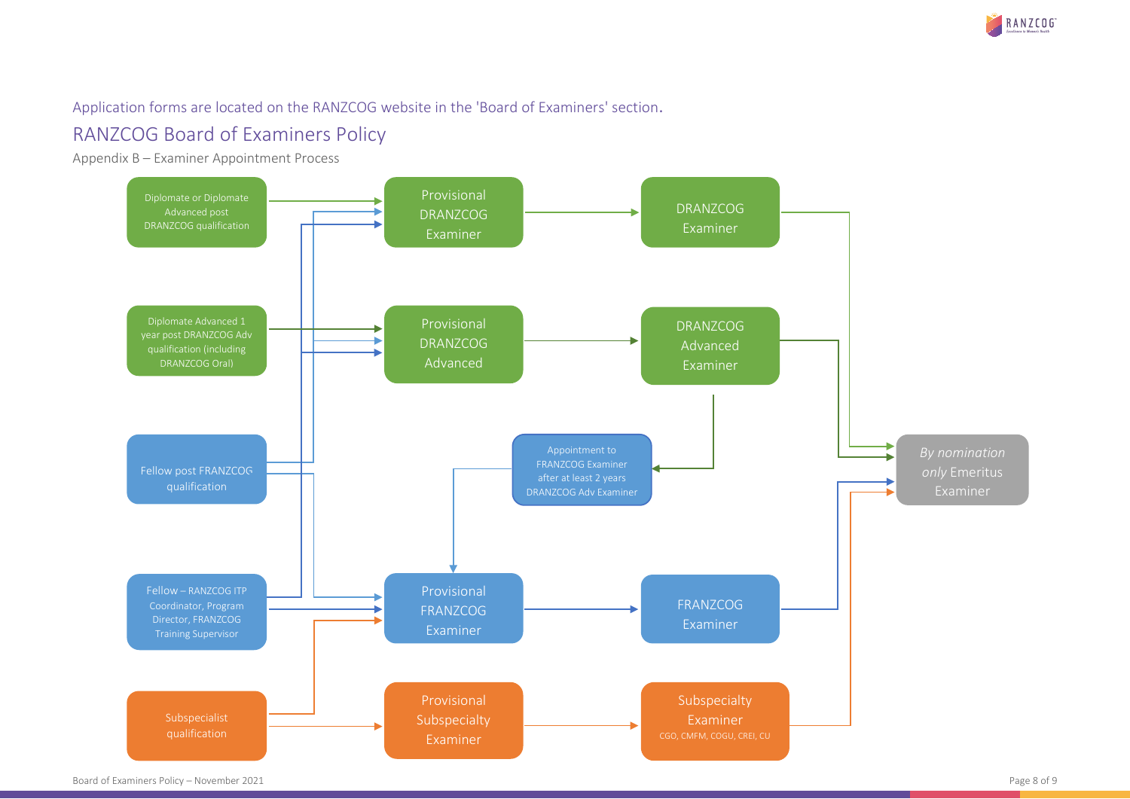

#### Application forms are located on the RANZCOG website in the 'Board of Examiners' section.

# RANZCOG Board of Examiners Policy

Appendix B – Examiner Appointment Process